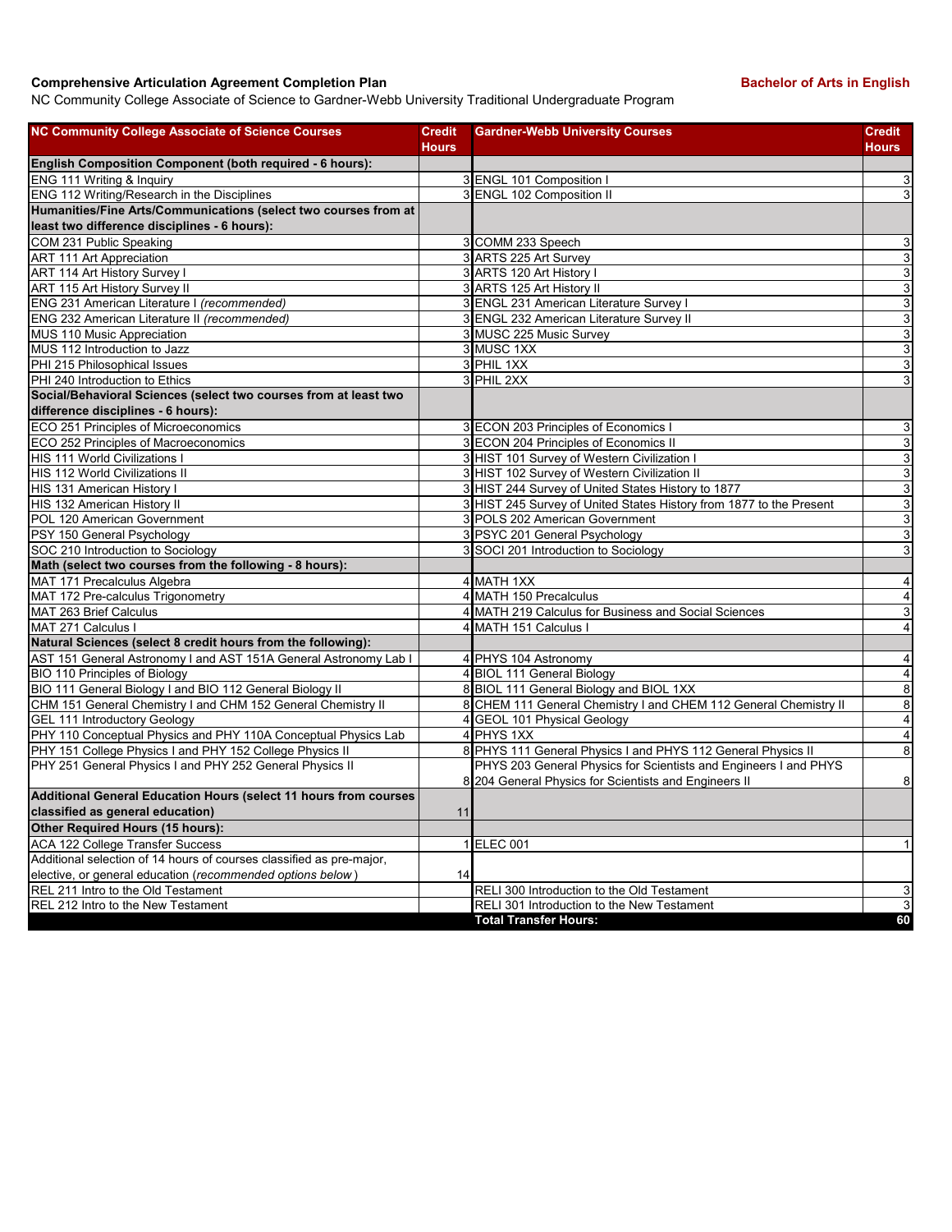## **Comprehensive Articulation Agreement Completion Plan Bachelor of Arts in English Bachelor of Arts in English**

NC Community College Associate of Science to Gardner-Webb University Traditional Undergraduate Program

| <b>NC Community College Associate of Science Courses</b>                                                                   | <b>Credit</b><br><b>Hours</b> | <b>Gardner-Webb University Courses</b>                                                                                    | <b>Credit</b><br><b>Hours</b>    |
|----------------------------------------------------------------------------------------------------------------------------|-------------------------------|---------------------------------------------------------------------------------------------------------------------------|----------------------------------|
| English Composition Component (both required - 6 hours):                                                                   |                               |                                                                                                                           |                                  |
| ENG 111 Writing & Inquiry                                                                                                  |                               | 3 ENGL 101 Composition I                                                                                                  | 3                                |
| ENG 112 Writing/Research in the Disciplines                                                                                |                               | 3 ENGL 102 Composition II                                                                                                 | $\ensuremath{\mathsf{3}}$        |
| Humanities/Fine Arts/Communications (select two courses from at                                                            |                               |                                                                                                                           |                                  |
| least two difference disciplines - 6 hours):                                                                               |                               |                                                                                                                           |                                  |
| COM 231 Public Speaking                                                                                                    |                               | 3 COMM 233 Speech                                                                                                         | $\overline{3}$                   |
| <b>ART 111 Art Appreciation</b>                                                                                            |                               | 3 ARTS 225 Art Survey                                                                                                     | $\overline{3}$                   |
| ART 114 Art History Survey I                                                                                               |                               | 3 ARTS 120 Art History I                                                                                                  | $\overline{3}$                   |
| ART 115 Art History Survey II                                                                                              |                               | 3 ARTS 125 Art History II                                                                                                 | $\overline{3}$                   |
| ENG 231 American Literature I (recommended)                                                                                |                               | 3 ENGL 231 American Literature Survey I                                                                                   | $\overline{3}$                   |
| ENG 232 American Literature II (recommended)                                                                               |                               | 3 ENGL 232 American Literature Survey II                                                                                  | $\overline{3}$                   |
| MUS 110 Music Appreciation                                                                                                 |                               | 3 MUSC 225 Music Survey                                                                                                   | $\overline{3}$                   |
| MUS 112 Introduction to Jazz                                                                                               |                               | 3 MUSC 1XX                                                                                                                | $\overline{3}$                   |
| PHI 215 Philosophical Issues                                                                                               |                               | 3 PHIL 1XX                                                                                                                | $\overline{3}$                   |
| PHI 240 Introduction to Ethics                                                                                             |                               | 3 PHIL 2XX                                                                                                                | $\mathsf 3$                      |
| Social/Behavioral Sciences (select two courses from at least two                                                           |                               |                                                                                                                           |                                  |
| difference disciplines - 6 hours):                                                                                         |                               |                                                                                                                           |                                  |
| ECO 251 Principles of Microeconomics                                                                                       |                               | 3 ECON 203 Principles of Economics I                                                                                      | 3                                |
| ECO 252 Principles of Macroeconomics                                                                                       |                               | 3 ECON 204 Principles of Economics II                                                                                     | $\overline{3}$                   |
| <b>HIS 111 World Civilizations I</b>                                                                                       |                               | 3 HIST 101 Survey of Western Civilization I                                                                               | $\overline{3}$                   |
| HIS 112 World Civilizations II                                                                                             |                               | 3 HIST 102 Survey of Western Civilization II                                                                              | $\overline{3}$                   |
| HIS 131 American History I                                                                                                 |                               | 3 HIST 244 Survey of United States History to 1877                                                                        | $\overline{3}$                   |
| HIS 132 American History II                                                                                                |                               | 3 HIST 245 Survey of United States History from 1877 to the Present                                                       | ω                                |
| POL 120 American Government                                                                                                |                               | 3 POLS 202 American Government                                                                                            | $\overline{3}$                   |
| PSY 150 General Psychology                                                                                                 |                               | 3 PSYC 201 General Psychology                                                                                             | $\overline{3}$                   |
| SOC 210 Introduction to Sociology                                                                                          |                               | 3 SOCI 201 Introduction to Sociology                                                                                      | $\overline{3}$                   |
| Math (select two courses from the following - 8 hours):                                                                    |                               |                                                                                                                           |                                  |
| MAT 171 Precalculus Algebra                                                                                                |                               | 4 MATH 1XX                                                                                                                | $\overline{\mathbf{4}}$          |
| MAT 172 Pre-calculus Trigonometry                                                                                          |                               | 4 MATH 150 Precalculus                                                                                                    | $\overline{\mathbf{4}}$          |
|                                                                                                                            |                               |                                                                                                                           | $\mathsf 3$                      |
| MAT 263 Brief Calculus<br>MAT 271 Calculus I                                                                               |                               | 4 MATH 219 Calculus for Business and Social Sciences<br>4 MATH 151 Calculus I                                             | 4                                |
| Natural Sciences (select 8 credit hours from the following):                                                               |                               |                                                                                                                           |                                  |
|                                                                                                                            |                               |                                                                                                                           |                                  |
| AST 151 General Astronomy I and AST 151A General Astronomy Lab I                                                           |                               | 4 PHYS 104 Astronomy                                                                                                      | $\overline{\mathbf{4}}$          |
| BIO 110 Principles of Biology                                                                                              |                               | 4 BIOL 111 General Biology                                                                                                | $\overline{4}$<br>$\overline{8}$ |
| BIO 111 General Biology I and BIO 112 General Biology II<br>CHM 151 General Chemistry I and CHM 152 General Chemistry II   |                               | 8 BIOL 111 General Biology and BIOL 1XX<br>8 CHEM 111 General Chemistry I and CHEM 112 General Chemistry II               |                                  |
|                                                                                                                            |                               |                                                                                                                           | $\overline{8}$                   |
| <b>GEL 111 Introductory Geology</b>                                                                                        |                               | 4 GEOL 101 Physical Geology                                                                                               | $\overline{\mathbf{4}}$          |
| PHY 110 Conceptual Physics and PHY 110A Conceptual Physics Lab<br>PHY 151 College Physics I and PHY 152 College Physics II |                               | 4 PHYS 1XX<br>8 PHYS 111 General Physics I and PHYS 112 General Physics II                                                | $\overline{4}$                   |
|                                                                                                                            |                               |                                                                                                                           | $\overline{8}$                   |
| PHY 251 General Physics I and PHY 252 General Physics II                                                                   |                               | PHYS 203 General Physics for Scientists and Engineers I and PHYS<br>8 204 General Physics for Scientists and Engineers II | 8                                |
| Additional General Education Hours (select 11 hours from courses                                                           |                               |                                                                                                                           |                                  |
| classified as general education)                                                                                           | 11                            |                                                                                                                           |                                  |
| Other Required Hours (15 hours):                                                                                           |                               |                                                                                                                           |                                  |
| <b>ACA 122 College Transfer Success</b>                                                                                    |                               | 1 ELEC 001                                                                                                                | $\mathbf{1}$                     |
| Additional selection of 14 hours of courses classified as pre-major,                                                       |                               |                                                                                                                           |                                  |
| elective, or general education (recommended options below)                                                                 | 14                            |                                                                                                                           |                                  |
| REL 211 Intro to the Old Testament                                                                                         |                               | RELI 300 Introduction to the Old Testament                                                                                | 3                                |
| REL 212 Intro to the New Testament                                                                                         |                               | RELI 301 Introduction to the New Testament                                                                                | $\overline{3}$                   |
|                                                                                                                            |                               | <b>Total Transfer Hours:</b>                                                                                              | 60                               |